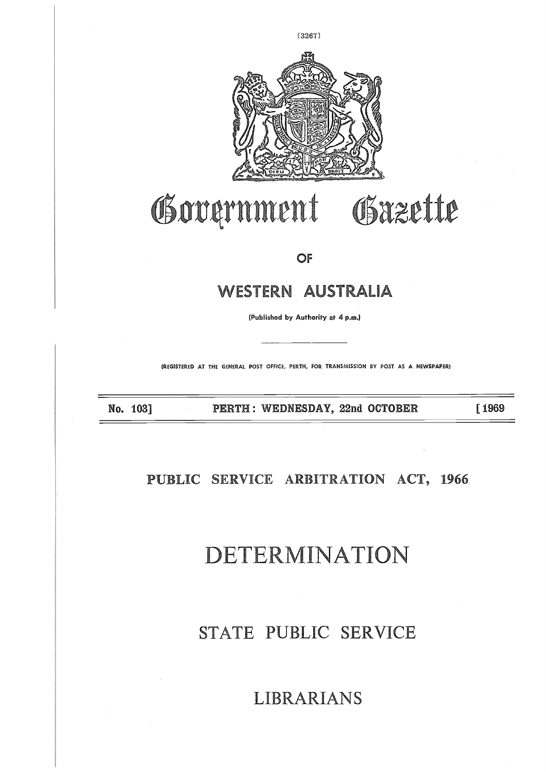

# Government Gazette

OF

### WESTERN AUSTRALIA

(Published by Authority at 4 p.m.)

(REGISTERED AT THE GENERAL POST OFFICE, PERTH, FOR TRANSMISSION BY POST AS A NEWSPAPER)

No. 103] **PERTII : WEDNESDAY, 22nd OCTOBER [ 1969**

### **PUBLIC SERVICE ARBITRATION ACT, 1966**

## DETERMINATION

### STATE PUBLIC SERVICE

### LIBRARIANS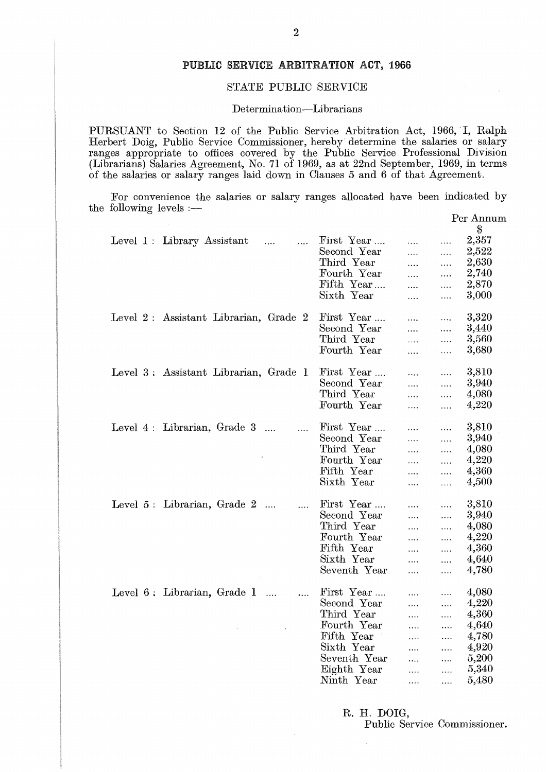#### **PUBLIC SERVICE ARBITRATION ACT, 1966**

#### **STATE** PUBLIC SERVICE

#### Determination-Librarians

PURSUANT to Section 12 of the Public Service Arbitration Act, 1966, I, Ralph Herbert Doig, Public Service Commissioner, hereby determine the salaries or salary ranges appropriate to offices covered by the Public Service Professional Division (Librarians) Salaries Agreement, No. 71 of 1969, as at 22nd September, 1969, in terms of the salaries or salary ranges laid down in Clauses 5 and 6 of that Agreement. PURSUANT to Section<br>
Herbert Doig, Public Se<br>
ranges appropriate to (<br>
(Librarians) Salaries Agr<br>
of the salaries or salary<br>
For convenience the<br>
the following levels :—<br>
Level 1 : Library

| STATE PUBLIC SERVICE                                                                                                                                                                                                                                                                                                                                                                                                  |              |               |          |                 |  |  |  |  |  |  |
|-----------------------------------------------------------------------------------------------------------------------------------------------------------------------------------------------------------------------------------------------------------------------------------------------------------------------------------------------------------------------------------------------------------------------|--------------|---------------|----------|-----------------|--|--|--|--|--|--|
| Determination—Librarians                                                                                                                                                                                                                                                                                                                                                                                              |              |               |          |                 |  |  |  |  |  |  |
| RSUANT to Section 12 of the Public Service Arbitration Act, 1966, I, Ralph<br>bert Doig, Public Service Commissioner, hereby determine the salaries or salary<br>ges appropriate to offices covered by the Public Service Professional Division<br>prarians) Salaries Agreement, No. 71 of 1969, as at 22nd September, 1969, in terms<br>he salaries or salary ranges laid down in Clauses 5 and 6 of that Agreement. |              |               |          |                 |  |  |  |  |  |  |
| For convenience the salaries or salary ranges allocated have been indicated by<br>following levels :—                                                                                                                                                                                                                                                                                                                 |              |               |          |                 |  |  |  |  |  |  |
|                                                                                                                                                                                                                                                                                                                                                                                                                       |              |               |          | Per Annum<br>\$ |  |  |  |  |  |  |
| Level 1: Library Assistant                                                                                                                                                                                                                                                                                                                                                                                            | First Year   |               |          | 2,357           |  |  |  |  |  |  |
| $\sim$ $\sim$ $\sim$<br>$\cdots$                                                                                                                                                                                                                                                                                                                                                                                      | Second Year  | $\cdots$      |          | 2,522           |  |  |  |  |  |  |
|                                                                                                                                                                                                                                                                                                                                                                                                                       | Third Year   | $\ldots$      | $\cdots$ | 2,630           |  |  |  |  |  |  |
|                                                                                                                                                                                                                                                                                                                                                                                                                       | Fourth Year  | $\cdots$      | $\cdots$ | 2,740           |  |  |  |  |  |  |
|                                                                                                                                                                                                                                                                                                                                                                                                                       | Fifth Year   | $\cdots$      | $\cdots$ | 2,870           |  |  |  |  |  |  |
|                                                                                                                                                                                                                                                                                                                                                                                                                       | Sixth Year   | $\cdots$      | $\cdots$ | 3,000           |  |  |  |  |  |  |
|                                                                                                                                                                                                                                                                                                                                                                                                                       |              | $\cdots$      | $\ldots$ |                 |  |  |  |  |  |  |
| Level 2: Assistant Librarian, Grade 2                                                                                                                                                                                                                                                                                                                                                                                 | First Year   |               | $\cdots$ | 3,320           |  |  |  |  |  |  |
|                                                                                                                                                                                                                                                                                                                                                                                                                       | Second Year  | .<br>$\ldots$ |          | 3,440           |  |  |  |  |  |  |
|                                                                                                                                                                                                                                                                                                                                                                                                                       | Third Year   | $\ldots$      | .        | 3,560           |  |  |  |  |  |  |
|                                                                                                                                                                                                                                                                                                                                                                                                                       | Fourth Year  |               | .        | 3,680           |  |  |  |  |  |  |
|                                                                                                                                                                                                                                                                                                                                                                                                                       |              | $\cdots$      |          |                 |  |  |  |  |  |  |
| Level 3: Assistant Librarian, Grade 1                                                                                                                                                                                                                                                                                                                                                                                 | First Year   | .             | .        | 3,810           |  |  |  |  |  |  |
|                                                                                                                                                                                                                                                                                                                                                                                                                       | Second Year  | $\ldots$      | $\ldots$ | 3,940           |  |  |  |  |  |  |
|                                                                                                                                                                                                                                                                                                                                                                                                                       | Third Year   | .             | .        | 4,080           |  |  |  |  |  |  |
|                                                                                                                                                                                                                                                                                                                                                                                                                       | Fourth Year  | $\cdots$      | $\ldots$ | 4,220           |  |  |  |  |  |  |
|                                                                                                                                                                                                                                                                                                                                                                                                                       |              |               |          |                 |  |  |  |  |  |  |
| Level $4:$ Librarian, Grade $3$                                                                                                                                                                                                                                                                                                                                                                                       | First Year   | .             | .        | 3,810           |  |  |  |  |  |  |
|                                                                                                                                                                                                                                                                                                                                                                                                                       | Second Year  | .             | $\ldots$ | 3,940           |  |  |  |  |  |  |
|                                                                                                                                                                                                                                                                                                                                                                                                                       | Third Year   | $\cdots$      | $\ldots$ | 4,080           |  |  |  |  |  |  |
|                                                                                                                                                                                                                                                                                                                                                                                                                       | Fourth Year  | $\cdots$      | $\ldots$ | 4,220           |  |  |  |  |  |  |
|                                                                                                                                                                                                                                                                                                                                                                                                                       | Fifth Year   | $\cdots$      | .        | 4,360           |  |  |  |  |  |  |
|                                                                                                                                                                                                                                                                                                                                                                                                                       | Sixth Year   | $\cdots$      | .        | 4,500           |  |  |  |  |  |  |
|                                                                                                                                                                                                                                                                                                                                                                                                                       |              |               |          |                 |  |  |  |  |  |  |
| Level 5: Librarian, Grade 2<br>$\cdots$                                                                                                                                                                                                                                                                                                                                                                               | First Year   | .             | .        | 3,810           |  |  |  |  |  |  |
|                                                                                                                                                                                                                                                                                                                                                                                                                       | Second Year  | .             | .        | 3,940           |  |  |  |  |  |  |
|                                                                                                                                                                                                                                                                                                                                                                                                                       | Third Year   | .             | .        | 4,080           |  |  |  |  |  |  |
|                                                                                                                                                                                                                                                                                                                                                                                                                       | Fourth Year  | .             | .        | 4,220           |  |  |  |  |  |  |
|                                                                                                                                                                                                                                                                                                                                                                                                                       | Fifth Year   | .             | .        | 4,360           |  |  |  |  |  |  |
|                                                                                                                                                                                                                                                                                                                                                                                                                       | Sixth Year   | .             | .        | 4,640           |  |  |  |  |  |  |
|                                                                                                                                                                                                                                                                                                                                                                                                                       | Seventh Year | .             | .        | 4,780           |  |  |  |  |  |  |
|                                                                                                                                                                                                                                                                                                                                                                                                                       |              |               |          |                 |  |  |  |  |  |  |
| Level 6: Librarian, Grade 1<br>$\cdots$                                                                                                                                                                                                                                                                                                                                                                               | First Year   | .             | .        | 4,080           |  |  |  |  |  |  |
|                                                                                                                                                                                                                                                                                                                                                                                                                       | Second Year  | .             | .        | 4,220           |  |  |  |  |  |  |
|                                                                                                                                                                                                                                                                                                                                                                                                                       | Third Year   | .             | .        | 4,360           |  |  |  |  |  |  |
|                                                                                                                                                                                                                                                                                                                                                                                                                       | Fourth Year  | .             | .        | 4,640           |  |  |  |  |  |  |
|                                                                                                                                                                                                                                                                                                                                                                                                                       | Fifth Year   | .             | .        | 4,780           |  |  |  |  |  |  |
|                                                                                                                                                                                                                                                                                                                                                                                                                       | Sixth Year   | .             | .        | 4,920           |  |  |  |  |  |  |
|                                                                                                                                                                                                                                                                                                                                                                                                                       | Seventh Year | $\cdots$      | .        | 5,200           |  |  |  |  |  |  |
|                                                                                                                                                                                                                                                                                                                                                                                                                       | Eighth Year  | .             | .        | 5,340           |  |  |  |  |  |  |
|                                                                                                                                                                                                                                                                                                                                                                                                                       | Ninth Year   | .             | .        | 5,480           |  |  |  |  |  |  |
|                                                                                                                                                                                                                                                                                                                                                                                                                       |              |               |          |                 |  |  |  |  |  |  |
|                                                                                                                                                                                                                                                                                                                                                                                                                       |              |               |          |                 |  |  |  |  |  |  |
|                                                                                                                                                                                                                                                                                                                                                                                                                       | R. H. DOIG,  |               |          |                 |  |  |  |  |  |  |
|                                                                                                                                                                                                                                                                                                                                                                                                                       |              |               |          |                 |  |  |  |  |  |  |

 $\bar{z}$ 

Public Service Commissioner.